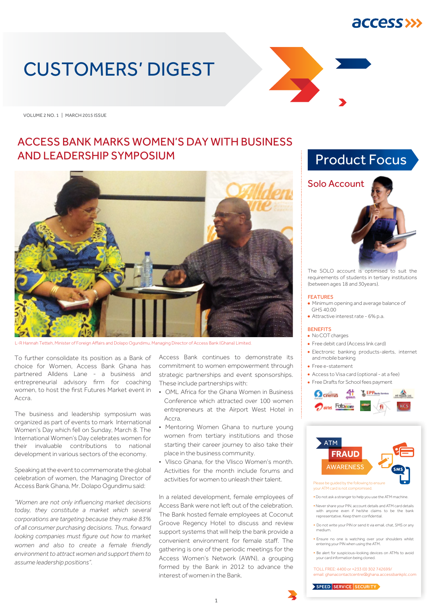## *<u>ACCESS>>></u>*

# CUSTOMERS' DIGEST

VOLUME 2 NO. 1 | MARCH 2015 ISSUE

#### ACCESS BANK MARKS WOMEN'S DAY WITH BUSINESS AND LEADERSHIP SYMPOSIUM



L-R Hannah Tetteh, Minister of Foreign Affairs and Dolapo Ogundimu, Managing Director of Access Bank (Ghana) Limited.

To further consolidate its position as a Bank of choice for Women, Access Bank Ghana has partnered Alldens Lane - a business and entrepreneurial advisory firm for coaching women, to host the first Futures Market event in Accra.

The business and leadership symposium was organized as part of events to mark International Women's Day which fell on Sunday, March 8. The International Women's Day celebrates women for their invaluable contributions to national development in various sectors of the economy.

Speaking at the event to commemorate the global celebration of women, the Managing Director of Access Bank Ghana, Mr. Dolapo Ogundimu said:

*"Women are not only influencing market decisions today, they constitute a market which several corporations are targeting because they make 83% of all consumer purchasing decisions. Thus, forward looking companies must figure out how to market women and also to create a female friendly environment to attract women and support them to assume leadership positions".* 

Access Bank continues to demonstrate its commitment to women empowerment through strategic partnerships and event sponsorships. These include partnerships with:

- OML Africa for the Ghana Women in Business Conference which attracted over 100 women entrepreneurs at the Airport West Hotel in Accra.
- Mentoring Women Ghana to nurture young women from tertiary institutions and those starting their career journey to also take their place in the business community.
- Vlisco Ghana, for the Vlisco Women's month. Activities for the month include forums and activities for women to unleash their talent.

In a related development, female employees of Access Bank were not left out of the celebration. The Bank hosted female employees at Coconut Groove Regency Hotel to discuss and review support systems that will help the bank provide a convenient environment for female staff. The gathering is one of the periodic meetings for the Access Women's Network (AWN), a grouping formed by the Bank in 2012 to advance the interest of women in the Bank.





The SOLO account is optimised to suit the requirements of students in tertiary institutions (between ages 18 and 30years).

#### FEATURES

- Minimum opening and average balance of GHS 40.00
- Attractive interest rate 6% p.a.

#### **BENEFITS**

- No COT charges
- Free debit card (Access link card)
- Electronic banking products-alerts, internet and mobile banking
- Free e-statement
- Access to Visa card (optional at a fee)
- Free Drafts for School fees payment





your ATM card is not compromis

- **•** Do not ask a stranger to help you use the ATM machine.
- **•** Never share your PIN, account details and ATM card details with anyone even if he/she claims to be the bank representative. Keep them confidential.
- **•** Do not write your PIN or send it via email, chat, SMS or any medium.
- **•** Ensure no one is watching over your shoulders whilst entering your PIN when using the ATM.
- **•** Be alert for suspicious–looking devices on ATMs to avoid your card information being cloned.

TOLL FREE: 4400 or +233 (0) 302 742699/ email: ghanacontactcentre@ghana.accessbankplc.com

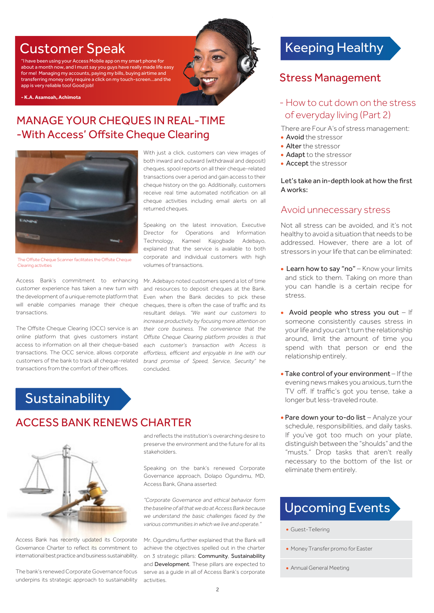## Customer Speak

"I have been using your Access Mobile app on my smart phone for about a month now, and I must say you guys have really made life easy for me! Managing my accounts, paying my bills, buying airtime and transferring money only require a click on my touch-screen...and the app is very reliable too! Good job!

**- K.A. Asamoah, Achimota**

#### MANAGE YOUR CHEQUES IN REAL-TIME -With Access' Offsite Cheque Clearing ĺ



The Offsite Cheque Scanner facilitates the Offsite Cheque Clearing activities

Access Bank's commitment to enhancing customer experience has taken a new turn with the development of a unique remote platform that will enable companies manage their cheque transactions.

The Offsite Cheque Clearing (OCC) service is an online platform that gives customers instant access to information on all their cheque-based transactions. The OCC service, allows corporate customers of the bank to track all cheque-related transactions from the comfort of their offices.

With just a click, customers can view images of both inward and outward (withdrawal and deposit) cheques, spool reports on all their cheque-related transactions over a period and gain access to their cheque history on the go. Additionally, customers receive real time automated notification on all cheque activities including email alerts on all returned cheques.

Speaking on the latest innovation, Executive Director for Operations and Information Technology, Kameel Kajogbade Adebayo, explained that the service is available to both corporate and individual customers with high volumes of transactions.

Mr. Adebayo noted customers spend a lot of time and resources to deposit cheques at the Bank. Even when the Bank decides to pick these cheques, there is often the case of traffic and its resultant delays. *"We want our customers to increase productivity by focusing more attention on their core business. The convenience that the Offsite Cheque Clearing platform provides is that each customer's transaction with Access is effortless, efficient and enjoyable in line with our brand promise of Speed, Service, Security"* he concluded.

## **Sustainability**

### ACCESS BANK RENEWS CHARTER



Access Bank has recently updated its Corporate Governance Charter to reflect its commitment to international best practice and business sustainability.

The bank's renewed Corporate Governance focus underpins its strategic approach to sustainability and reflects the institution's overarching desire to preserve the environment and the future for all its stakeholders.

Speaking on the bank's renewed Corporate Governance approach, Dolapo Ogundimu, MD, Access Bank, Ghana asserted:

*"Corporate Governance and ethical behavior form the baseline of all that we do at Access Bank because we understand the basic challenges faced by the various communities in which we live and operate."*

Mr. Ogundimu further explained that the Bank will achieve the objectives spelled out in the charter on 3 strategic pillars: Community, Sustainability and Development. These pillars are expected to serve as a guide in all of Access Bank's corporate activities.

## Keeping Healthy

#### Stress Management

#### - How to cut down on the stress of everyday living (Part 2)

There are Four A's of stress management:

- Avoid the stressor
- Alter the stressor
- Adapt to the stressor
- Accept the stressor

#### Let's take an in-depth look at how the first A works:

#### Avoid unnecessary stress

Not all stress can be avoided, and it's not healthy to avoid a situation that needs to be addressed. However, there are a lot of stressors in your life that can be eliminated:

- Learn how to say "no" Know your limits and stick to them. Taking on more than you can handle is a certain recipe for stress.
- Avoid people who stress you out  $-$  If someone consistently causes stress in your life and you can't turn the relationship around, limit the amount of time you spend with that person or end the relationship entirely.
- Take control of your environment If the evening news makes you anxious, turn the TV off. If traffic's got you tense, take a longer but less-traveled route.
- Pare down your to-do list Analyze your schedule, responsibilities, and daily tasks. If you've got too much on your plate, distinguish between the "shoulds" and the "musts." Drop tasks that aren't really necessary to the bottom of the list or eliminate them entirely.

## Upcoming Events

• Guest-Tellering

• Annual General Meeting

<sup>•</sup> Money Transfer promo for Easter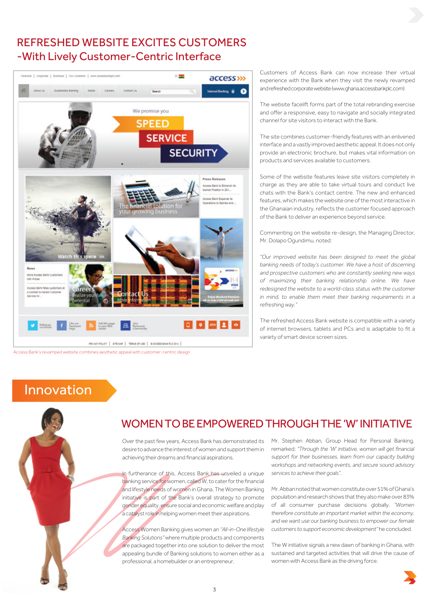### REFRESHED WEBSITE EXCITES CUSTOMERS -With Lively Customer-Centric Interface



Access Bank's revamped website combines aesthetic appeal with customer-centric design

Customers of Access Bank can now increase their virtual experience with the Bank when they visit the newly revamped and refreshed corporate website (www.ghana.accessbankplc.com)

The website facelift forms part of the total rebranding exercise and offer a responsive, easy to navigate and socially integrated channel for site visitors to interact with the Bank.

The site combines customer-friendly features with an enlivened interface and a vastly improved aesthetic appeal. It does not only provide an electronic brochure, but makes vital information on products and services available to customers.

Some of the website features leave site visitors completely in charge as they are able to take virtual tours and conduct live chats with the Bank's contact centre. The new and enhanced features, which makes the website one of the most interactive in the Ghanaian industry, reflects the customer focused approach of the Bank to deliver an experience beyond service.

Commenting on the website re-design, the Managing Director, Mr. Dolapo Ogundimu, noted:

*"Our improved website has been designed to meet the global banking needs of today's customer. We have a host of discerning and prospective customers who are constantly seeking new ways of maximizing their banking relationship online. We have*  redesigned the website to a world-class status with the customer *in mind, to enable them meet their banking requirements in a refreshing way."*

The refreshed Access Bank website is compatible with a variety of internet browsers, tablets and PCs and is adaptable to fit a variety of smart device screen sizes.

## Innovation



#### WOMEN TO BE EMPOWERED THROUGH THE 'W' INITIATIVE

Over the past few years, Access Bank has demonstrated its desire to advance the interest of women and support them in achieving their dreams and financial aspirations.

In furtherance of this, Access Bank has unveiled a unique banking service for women, called W, to cater for the financial and lifestyle needs of women in Ghana. The Women Banking initiative is part of the Bank's overall strategy to promote gender equality, ensure social and economic welfare and play a catalyst role in helping women meet their aspirations.

Access Women Banking gives women an *"All-in-One lifestyle Banking Solutions"* where multiple products and components are packaged together into one solution to deliver the most appealing bundle of Banking solutions to women either as a professional, a homebuilder or an entrepreneur.

Mr. Stephen Abban, Group Head for Personal Banking, remarked: *"Through the 'W' initiative, women will get financial support for their businesses, learn from our capacity building workshops and networking events, and secure sound advisory services to achieve their goals"*.

Mr. Abban noted that women constitute over 51% of Ghana's population and research shows that they also make over 83% of all consumer purchase decisions globally. *"Women therefore constitute an important market within the economy, and we want use our banking business to empower our female customers to support economic development"* he concluded.

The W initiative signals a new dawn of banking in Ghana, with sustained and targeted activities that will drive the cause of women with Access Bank as the driving force.